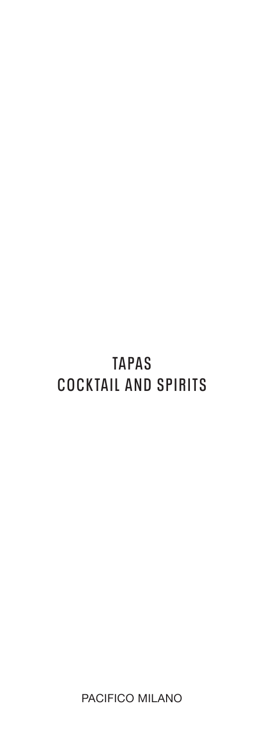# **TAPAS COCKTAIL AND SPIRITS**

PACIFICO MILANO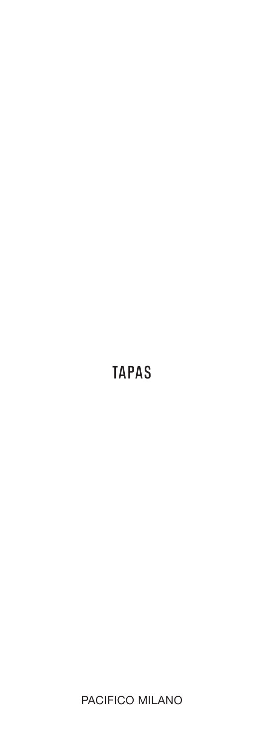## **TAPAS**

PACIFICO MILANO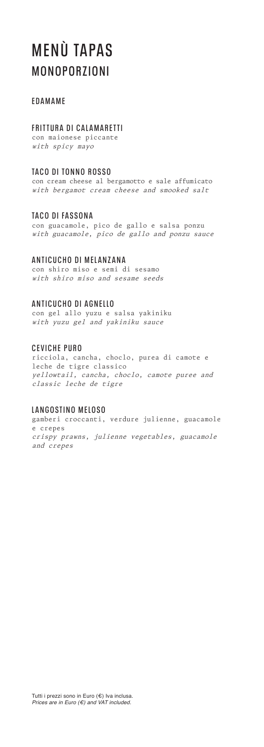### **MENÙ TAPAS MONOPORZIONI**

### **EDAMAME**

### **FRITTURA DI CALAMARETTI**

con maionese piccante with spicy mayo

### **TACO DI TONNO ROSSO**

con cream cheese al bergamotto e sale affumicato with bergamot cream cheese and smooked salt

### **TACO DI FASSONA**

con guacamole, pico de gallo e salsa ponzu with guacamole, pico de gallo and ponzu sauce

### **ANTICUCHO DI MELANZANA**

con shiro miso e semi di sesamo with shiro miso and sesame seeds

### **ANTICUCHO DI AGNELLO**

con gel allo yuzu e salsa yakiniku with yuzu gel and yakiniku sauce

### **CEVICHE PURO**

ricciola, cancha, choclo, purea di camote e leche de tigre classico yellowtail, cancha, choclo, camote puree and classic leche de tigre

### **LANGOSTINO MELOSO**

gamberi croccanti, verdure julienne, guacamole e crepes crispy prawns, julienne vegetables, guacamole and crepes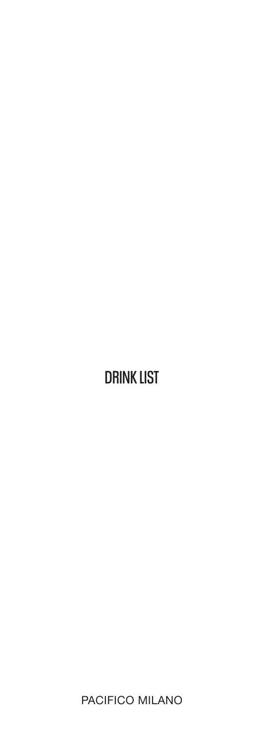# **DRINK LIST**

PACIFICO MILANO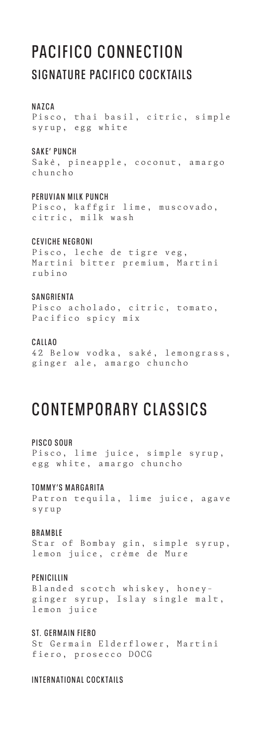### **PACIFICO CONNECTION SIGNATURE PACIFICO COCKTAILS**

#### **NAZCA**

Pisco, thai basil, citric, simple syrup, egg white

#### **SAKE' PUNCH**

Sakè, pineapple, coconut, amargo chuncho

#### **PERUVIAN MILK PUNCH**

Pisco, kaffgir lime, muscovado, citric, milk wash

### **CEVICHE NEGRONI**

Pisco, leche de tigre veg, Martini bitter premium, Martini rubino

### **SANGRIENTA**

Pisco acholado, citric, tomato, Pacifico spicy mix

### **CALLAO**

42 Below vodka, saké, lemongrass, ginger ale, amargo chuncho

### **CONTEMPORARY CLASSICS**

### **PISCO SOUR**

Pisco, lime juice, simple syrup, egg white, amargo chuncho

#### **TOMMY'S MARGARITA**

Patron tequila, lime juice, agave syrup

#### **BRAMBLE**

Star of Bombay gin, simple syrup, lemon juice, crème de Mure

#### **PENICILLIN**

Blanded scotch whiskey, honeyginger syrup, Islay single malt, lemon juice

### **ST. GERMAIN FIERO**

St Germain Elderflower, Martini fiero, prosecco DOCG

### **INTERNATIONAL COCKTAILS**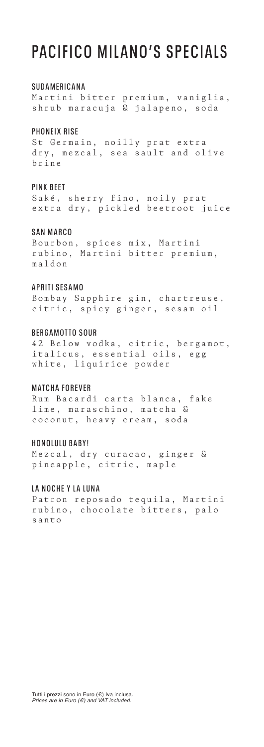### **PACIFICO MILANO'S SPECIALS**

#### **SUDAMERICANA**

Martini bitter premium, vaniglia, shrub maracuja & jalapeno, soda

#### **PHONEIX RISE**

St Germain, noilly prat extra dry, mezcal, sea sault and olive brine

#### **PINK BEET**

Saké, sherry fino, noily prat extra dry, pickled beetroot juice

### **SAN MARCO**

Bourbon, spices mix, Martini rubino, Martini bitter premium, maldon

### **APRITI SESAMO**

Bombay Sapphire gin, chartreuse, citric, spicy ginger, sesam oil

#### **BERGAMOTTO SOUR**

42 Below vodka, citric, bergamot, italicus, essential oils, egg white, liquirice powder

### **MATCHA FOREVER**

Rum Bacardi carta blanca, fake lime, maraschino, matcha & coconut, heavy cream, soda

#### **HONOLULU BABY!**

Mezcal, dry curacao, ginger & pineapple, citric, maple

#### **LA NOCHE Y LA LUNA**

Patron reposado tequila, Martini rubino, chocolate bitters, palo santo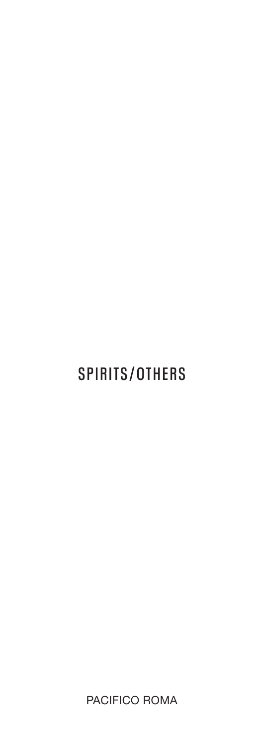# **SPIRITS/OTHERS**

PACIFICO ROMA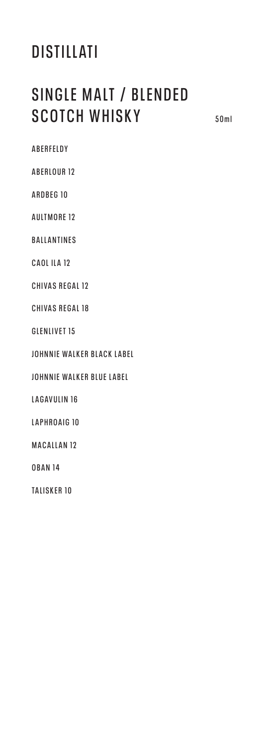### **SINGLE MALT / BLENDED SCOTCH WHISKY 50ml**

**ABERFELDY**

**ABERLOUR 12**

**ARDBEG 10**

**AULTMORE 12**

**BALLANTINES**

**CAOL ILA 12**

**CHIVAS REGAL 12** 

**CHIVAS REGAL 18** 

**GLENLIVET 15**

**JOHNNIE WALKER BLACK LABEL**

**JOHNNIE WALKER BLUE LABEL**

**LAGAVULIN 16**

**LAPHROAIG 10** 

**MACALLAN 12**

**OBAN 14**

**TALISKER 10**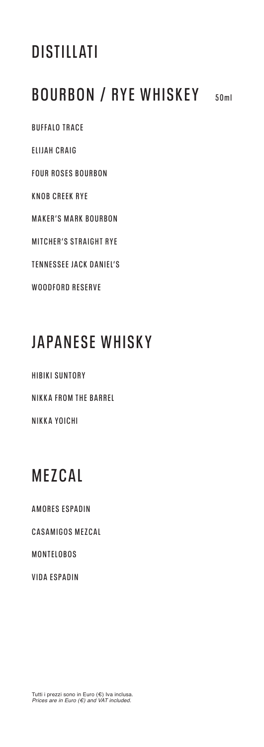### **BOURBON / RYE WHISKEY 50ml**

**BUFFALO TRACE ELIJAH CRAIG FOUR ROSES BOURBON KNOB CREEK RYE MAKER'S MARK BOURBON MITCHER'S STRAIGHT RYE TENNESSEE JACK DANIEL'S WOODFORD RESERVE**

## **JAPANESE WHISKY**

**HIBIKI SUNTORY NIKKA FROM THE BARREL NIKKA YOICHI**

## **MEZCAL**

**AMORES ESPADIN** 

**CASAMIGOS MEZCAL**

**MONTELOBOS**

**VIDA ESPADIN**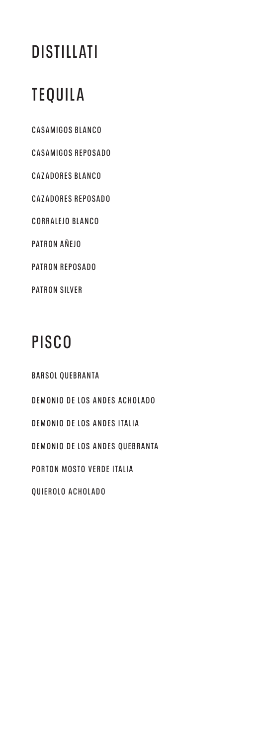# **TEQUILA**

**CASAMIGOS BLANCO CASAMIGOS REPOSADO CAZADORES BLANCO CAZADORES REPOSADO CORRALEJO BLANCO PATRON AÑEJO PATRON REPOSADO PATRON SILVER**

# **PISCO**

**BARSOL QUEBRANTA DEMONIO DE LOS ANDES ACHOLADO DEMONIO DE LOS ANDES ITALIA DEMONIO DE LOS ANDES QUEBRANTA PORTON MOSTO VERDE ITALIA QUIEROLO ACHOLADO**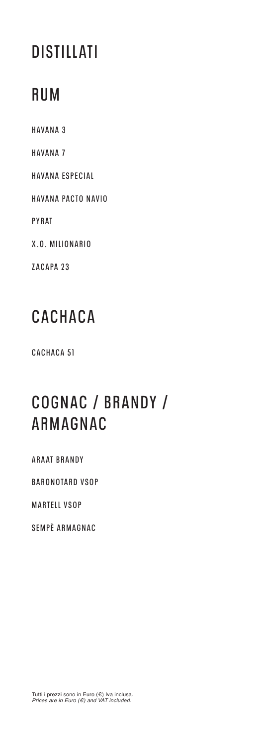### **RUM**

**HAVANA 3 HAVANA 7 HAVANA ESPECIAL HAVANA PACTO NAVIO PYRAT X.O. MILIONARIO ZACAPA 23**

## **CACHACA**

**CACHACA 51**

## **C O G N A C / B R A N D Y / ARMAGNAC**

**ARAAT BRANDY**

**BARONOTARD VSOP**

**MARTELL VSOP**

**SEMPÈ ARMAGNAC**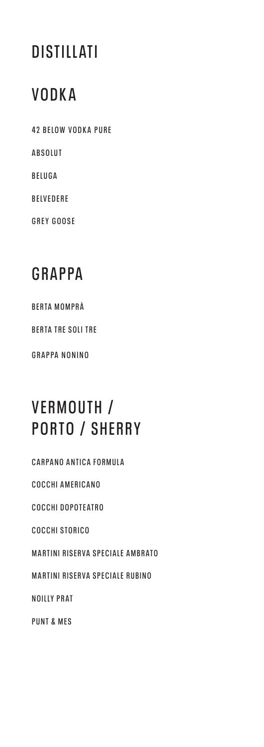### **VODKA**

**42 BELOW VODKA PURE ABSOLUT BELUGA BELVEDERE GREY GOOSE**

## **GRAPPA**

**BERTA MOMPRÀ**

**BERTA TRE SOLI TRE**

**GRAPPA NONINO** 

# **VERMOUTH / PORTO / SHERRY**

**CARPANO ANTICA FORMULA COCCHI AMERICANO COCCHI DOPOTEATRO COCCHI STORICO MARTINI RISERVA SPECIALE AMBRATO MARTINI RISERVA SPECIALE RUBINO NOILLY PRAT PUNT & MES**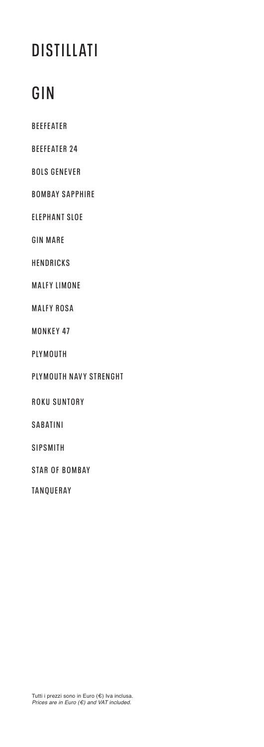# **GIN**

**BEEFEATER**

**BEEFEATER 24**

**BOLS GENEVER**

**BOMBAY SAPPHIRE**

**ELEPHANT SLOE**

**GIN MARE**

**HENDRICKS**

**MALFY LIMONE**

**MALFY ROSA**

**MONKEY 47**

**PLYMOUTH**

**PLYMOUTH NAVY STRENGHT**

**ROKU SUNTORY** 

**SABATINI**

**SIPSMITH**

**STAR OF BOMBAY** 

**TANQUERAY**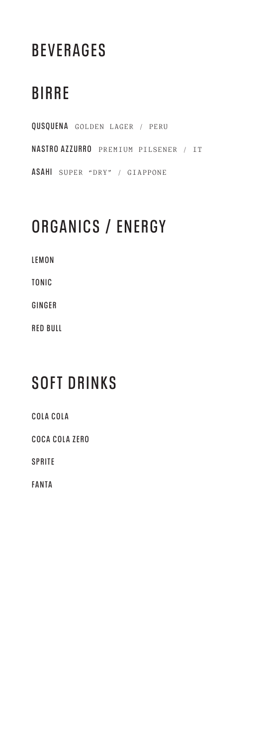# **BEVERAGES**

# **BIRRE**

**QUSQUENA** GOLDEN LAGER / PERU **NASTRO AZZURRO** PREMIUM PILSENER / IT **ASAHI** SUPER "DRY" / GIAPPONE

# **ORGANICS / ENERGY**

**LEMON**

**TONIC**

**GINGER**

**RED BULL** 

### **SOFT DRINKS**

**COLA COLA COCA COLA ZERO SPRITE FANTA**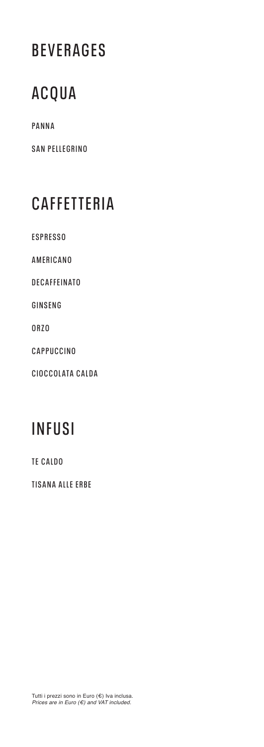## **BEVERAGES**

## **ACQUA**

**PANNA**

**SAN PELLEGRINO**

# **CAFFETTERIA**

**ESPRESSO**

**AMERICANO** 

**DECAFFEINATO** 

**GINSENG** 

**ORZO** 

**CAPPUCCINO** 

**CIOCCOLATA CALDA** 

## **INFUSI**

**TE CALDO**

**TISANA ALLE ERBE**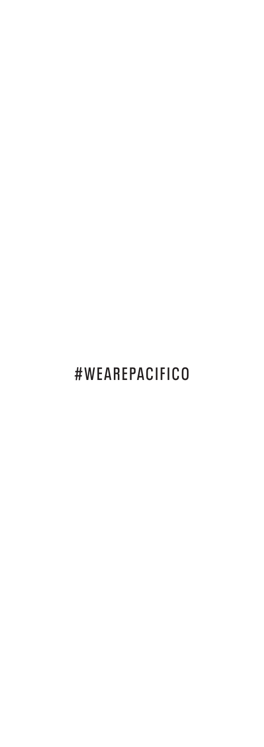# **#WEAREPACIFICO**